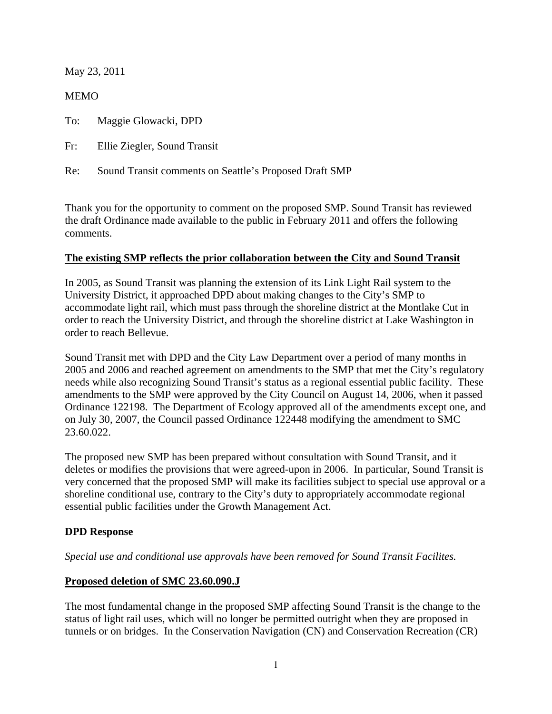May 23, 2011

MEMO

To: Maggie Glowacki, DPD

Fr: Ellie Ziegler, Sound Transit

Re: Sound Transit comments on Seattle's Proposed Draft SMP

Thank you for the opportunity to comment on the proposed SMP. Sound Transit has reviewed the draft Ordinance made available to the public in February 2011 and offers the following comments.

#### **The existing SMP reflects the prior collaboration between the City and Sound Transit**

In 2005, as Sound Transit was planning the extension of its Link Light Rail system to the University District, it approached DPD about making changes to the City's SMP to accommodate light rail, which must pass through the shoreline district at the Montlake Cut in order to reach the University District, and through the shoreline district at Lake Washington in order to reach Bellevue.

Sound Transit met with DPD and the City Law Department over a period of many months in 2005 and 2006 and reached agreement on amendments to the SMP that met the City's regulatory needs while also recognizing Sound Transit's status as a regional essential public facility. These amendments to the SMP were approved by the City Council on August 14, 2006, when it passed Ordinance 122198. The Department of Ecology approved all of the amendments except one, and on July 30, 2007, the Council passed Ordinance 122448 modifying the amendment to SMC 23.60.022.

The proposed new SMP has been prepared without consultation with Sound Transit, and it deletes or modifies the provisions that were agreed-upon in 2006. In particular, Sound Transit is very concerned that the proposed SMP will make its facilities subject to special use approval or a shoreline conditional use, contrary to the City's duty to appropriately accommodate regional essential public facilities under the Growth Management Act.

## **DPD Response**

*Special use and conditional use approvals have been removed for Sound Transit Facilites.* 

## **Proposed deletion of SMC 23.60.090.J**

The most fundamental change in the proposed SMP affecting Sound Transit is the change to the status of light rail uses, which will no longer be permitted outright when they are proposed in tunnels or on bridges. In the Conservation Navigation (CN) and Conservation Recreation (CR)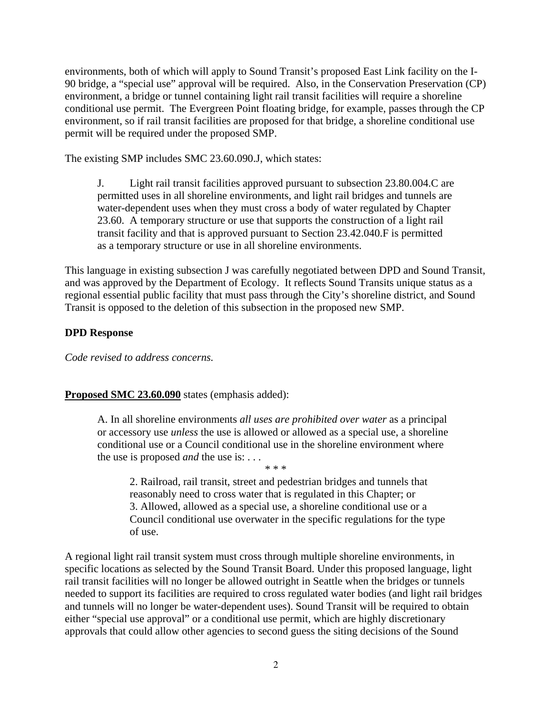environments, both of which will apply to Sound Transit's proposed East Link facility on the I-90 bridge, a "special use" approval will be required. Also, in the Conservation Preservation (CP) environment, a bridge or tunnel containing light rail transit facilities will require a shoreline conditional use permit. The Evergreen Point floating bridge, for example, passes through the CP environment, so if rail transit facilities are proposed for that bridge, a shoreline conditional use permit will be required under the proposed SMP.

The existing SMP includes SMC 23.60.090.J, which states:

J. Light rail transit facilities approved pursuant to subsection 23.80.004.C are permitted uses in all shoreline environments, and light rail bridges and tunnels are water-dependent uses when they must cross a body of water regulated by Chapter 23.60. A temporary structure or use that supports the construction of a light rail transit facility and that is approved pursuant to Section 23.42.040.F is permitted as a temporary structure or use in all shoreline environments.

This language in existing subsection J was carefully negotiated between DPD and Sound Transit, and was approved by the Department of Ecology. It reflects Sound Transits unique status as a regional essential public facility that must pass through the City's shoreline district, and Sound Transit is opposed to the deletion of this subsection in the proposed new SMP.

## **DPD Response**

*Code revised to address concerns.* 

#### **Proposed SMC 23.60.090** states (emphasis added):

A. In all shoreline environments *all uses are prohibited over water* as a principal or accessory use *unless* the use is allowed or allowed as a special use, a shoreline conditional use or a Council conditional use in the shoreline environment where the use is proposed *and* the use is: . . .

\* \* \* 2. Railroad, rail transit, street and pedestrian bridges and tunnels that reasonably need to cross water that is regulated in this Chapter; or 3. Allowed, allowed as a special use, a shoreline conditional use or a Council conditional use overwater in the specific regulations for the type of use.

A regional light rail transit system must cross through multiple shoreline environments, in specific locations as selected by the Sound Transit Board. Under this proposed language, light rail transit facilities will no longer be allowed outright in Seattle when the bridges or tunnels needed to support its facilities are required to cross regulated water bodies (and light rail bridges and tunnels will no longer be water-dependent uses). Sound Transit will be required to obtain either "special use approval" or a conditional use permit, which are highly discretionary approvals that could allow other agencies to second guess the siting decisions of the Sound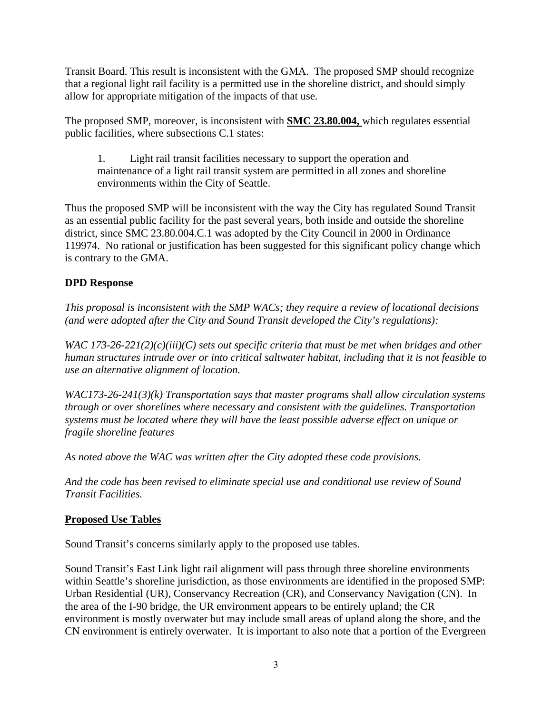Transit Board. This result is inconsistent with the GMA. The proposed SMP should recognize that a regional light rail facility is a permitted use in the shoreline district, and should simply allow for appropriate mitigation of the impacts of that use.

The proposed SMP, moreover, is inconsistent with **SMC 23.80.004,** which regulates essential public facilities, where subsections C.1 states:

1. Light rail transit facilities necessary to support the operation and maintenance of a light rail transit system are permitted in all zones and shoreline environments within the City of Seattle.

Thus the proposed SMP will be inconsistent with the way the City has regulated Sound Transit as an essential public facility for the past several years, both inside and outside the shoreline district, since SMC 23.80.004.C.1 was adopted by the City Council in 2000 in Ordinance 119974. No rational or justification has been suggested for this significant policy change which is contrary to the GMA.

# **DPD Response**

*This proposal is inconsistent with the SMP WACs; they require a review of locational decisions (and were adopted after the City and Sound Transit developed the City's regulations):* 

*WAC 173-26-221(2)(c)(iii)(C) sets out specific criteria that must be met when bridges and other human structures intrude over or into critical saltwater habitat, including that it is not feasible to use an alternative alignment of location.* 

*WAC173-26-241(3)(k) Transportation says that master programs shall allow circulation systems through or over shorelines where necessary and consistent with the guidelines. Transportation systems must be located where they will have the least possible adverse effect on unique or fragile shoreline features* 

*As noted above the WAC was written after the City adopted these code provisions.* 

*And the code has been revised to eliminate special use and conditional use review of Sound Transit Facilities.*

## **Proposed Use Tables**

Sound Transit's concerns similarly apply to the proposed use tables.

Sound Transit's East Link light rail alignment will pass through three shoreline environments within Seattle's shoreline jurisdiction, as those environments are identified in the proposed SMP: Urban Residential (UR), Conservancy Recreation (CR), and Conservancy Navigation (CN). In the area of the I-90 bridge, the UR environment appears to be entirely upland; the CR environment is mostly overwater but may include small areas of upland along the shore, and the CN environment is entirely overwater. It is important to also note that a portion of the Evergreen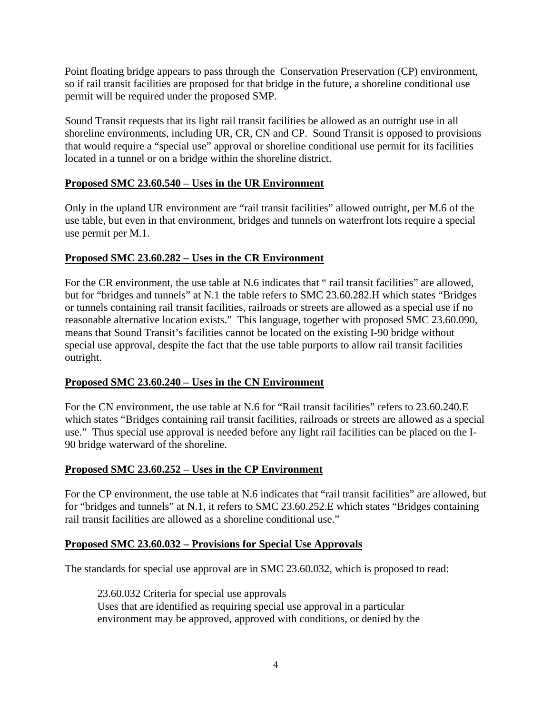Point floating bridge appears to pass through the Conservation Preservation (CP) environment, so if rail transit facilities are proposed for that bridge in the future, a shoreline conditional use permit will be required under the proposed SMP.

Sound Transit requests that its light rail transit facilities be allowed as an outright use in all shoreline environments, including UR, CR, CN and CP. Sound Transit is opposed to provisions that would require a "special use" approval or shoreline conditional use permit for its facilities located in a tunnel or on a bridge within the shoreline district.

## **Proposed SMC 23.60.540 – Uses in the UR Environment**

Only in the upland UR environment are "rail transit facilities" allowed outright, per M.6 of the use table, but even in that environment, bridges and tunnels on waterfront lots require a special use permit per M.1.

#### **Proposed SMC 23.60.282 – Uses in the CR Environment**

For the CR environment, the use table at N.6 indicates that " rail transit facilities" are allowed, but for "bridges and tunnels" at N.1 the table refers to SMC 23.60.282.H which states "Bridges or tunnels containing rail transit facilities, railroads or streets are allowed as a special use if no reasonable alternative location exists." This language, together with proposed SMC 23.60.090, means that Sound Transit's facilities cannot be located on the existing I-90 bridge without special use approval, despite the fact that the use table purports to allow rail transit facilities outright.

## **Proposed SMC 23.60.240 – Uses in the CN Environment**

For the CN environment, the use table at N.6 for "Rail transit facilities" refers to 23.60.240.E which states "Bridges containing rail transit facilities, railroads or streets are allowed as a special use." Thus special use approval is needed before any light rail facilities can be placed on the I-90 bridge waterward of the shoreline.

#### **Proposed SMC 23.60.252 – Uses in the CP Environment**

For the CP environment, the use table at N.6 indicates that "rail transit facilities" are allowed, but for "bridges and tunnels" at N.1, it refers to SMC 23.60.252.E which states "Bridges containing rail transit facilities are allowed as a shoreline conditional use."

#### **Proposed SMC 23.60.032 – Provisions for Special Use Approvals**

The standards for special use approval are in SMC 23.60.032, which is proposed to read:

23.60.032 Criteria for special use approvals Uses that are identified as requiring special use approval in a particular environment may be approved, approved with conditions, or denied by the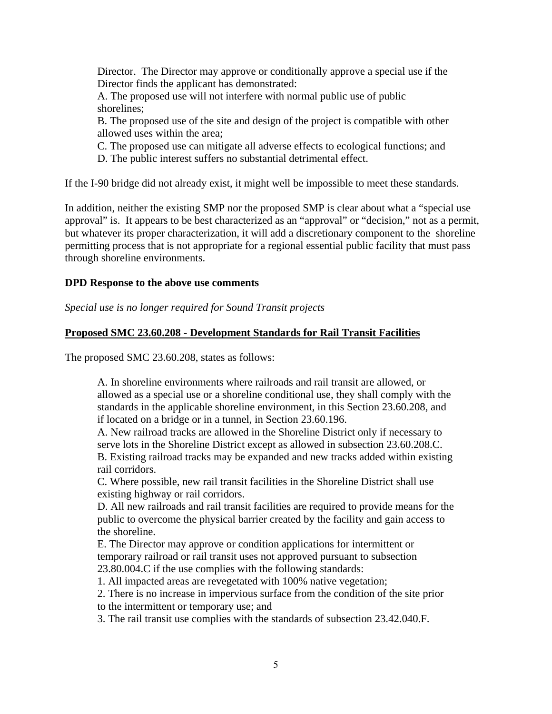Director. The Director may approve or conditionally approve a special use if the Director finds the applicant has demonstrated:

A. The proposed use will not interfere with normal public use of public shorelines;

B. The proposed use of the site and design of the project is compatible with other allowed uses within the area;

C. The proposed use can mitigate all adverse effects to ecological functions; and

D. The public interest suffers no substantial detrimental effect.

If the I-90 bridge did not already exist, it might well be impossible to meet these standards.

In addition, neither the existing SMP nor the proposed SMP is clear about what a "special use approval" is. It appears to be best characterized as an "approval" or "decision," not as a permit, but whatever its proper characterization, it will add a discretionary component to the shoreline permitting process that is not appropriate for a regional essential public facility that must pass through shoreline environments.

#### **DPD Response to the above use comments**

*Special use is no longer required for Sound Transit projects* 

## **Proposed SMC 23.60.208 - Development Standards for Rail Transit Facilities**

The proposed SMC 23.60.208, states as follows:

A. In shoreline environments where railroads and rail transit are allowed, or allowed as a special use or a shoreline conditional use, they shall comply with the standards in the applicable shoreline environment, in this Section 23.60.208, and if located on a bridge or in a tunnel, in Section 23.60.196.

A. New railroad tracks are allowed in the Shoreline District only if necessary to serve lots in the Shoreline District except as allowed in subsection 23.60.208.C. B. Existing railroad tracks may be expanded and new tracks added within existing rail corridors.

C. Where possible, new rail transit facilities in the Shoreline District shall use existing highway or rail corridors.

D. All new railroads and rail transit facilities are required to provide means for the public to overcome the physical barrier created by the facility and gain access to the shoreline.

E. The Director may approve or condition applications for intermittent or temporary railroad or rail transit uses not approved pursuant to subsection 23.80.004.C if the use complies with the following standards:

1. All impacted areas are revegetated with 100% native vegetation;

2. There is no increase in impervious surface from the condition of the site prior

to the intermittent or temporary use; and

3. The rail transit use complies with the standards of subsection 23.42.040.F.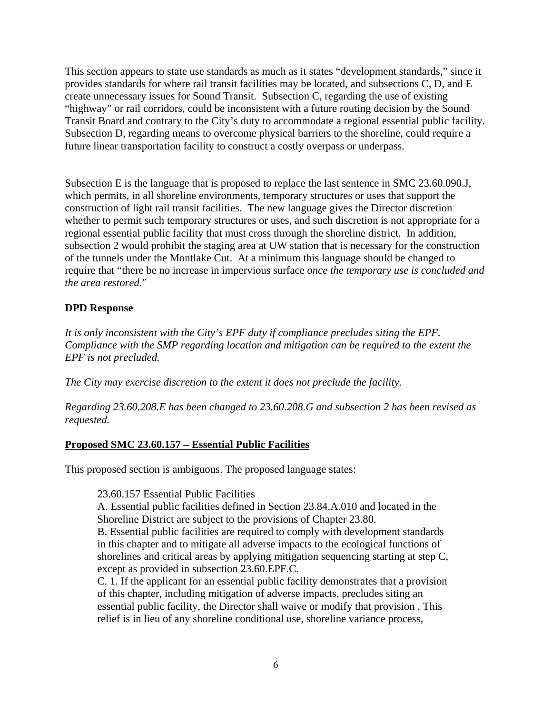This section appears to state use standards as much as it states "development standards," since it provides standards for where rail transit facilities may be located, and subsections C, D, and E create unnecessary issues for Sound Transit. Subsection C, regarding the use of existing "highway" or rail corridors, could be inconsistent with a future routing decision by the Sound Transit Board and contrary to the City's duty to accommodate a regional essential public facility. Subsection D, regarding means to overcome physical barriers to the shoreline, could require a future linear transportation facility to construct a costly overpass or underpass.

Subsection E is the language that is proposed to replace the last sentence in SMC 23.60.090.J, which permits, in all shoreline environments, temporary structures or uses that support the construction of light rail transit facilities. The new language gives the Director discretion whether to permit such temporary structures or uses, and such discretion is not appropriate for a regional essential public facility that must cross through the shoreline district. In addition, subsection 2 would prohibit the staging area at UW station that is necessary for the construction of the tunnels under the Montlake Cut. At a minimum this language should be changed to require that "there be no increase in impervious surface *once the temporary use is concluded and the area restored.*"

## **DPD Response**

*It is only inconsistent with the City's EPF duty if compliance precludes siting the EPF. Compliance with the SMP regarding location and mitigation can be required to the extent the EPF is not precluded.* 

*The City may exercise discretion to the extent it does not preclude the facility.* 

*Regarding 23.60.208.E has been changed to 23.60.208.G and subsection 2 has been revised as requested.* 

## **Proposed SMC 23.60.157 – Essential Public Facilities**

This proposed section is ambiguous. The proposed language states:

23.60.157 Essential Public Facilities

A. Essential public facilities defined in Section 23.84.A.010 and located in the Shoreline District are subject to the provisions of Chapter 23.80.

B. Essential public facilities are required to comply with development standards in this chapter and to mitigate all adverse impacts to the ecological functions of shorelines and critical areas by applying mitigation sequencing starting at step C, except as provided in subsection 23.60.EPF.C.

C. 1. If the applicant for an essential public facility demonstrates that a provision of this chapter, including mitigation of adverse impacts, precludes siting an essential public facility, the Director shall waive or modify that provision . This relief is in lieu of any shoreline conditional use, shoreline variance process,